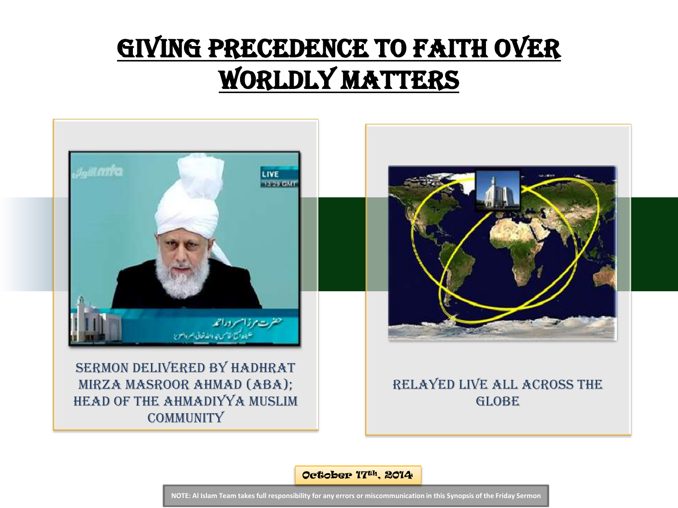## GIVING PRECEDENCE TO FAITH OVER worldly matters



October 17th, 2014

**NOTE: Al Islam Team takes full responsibility for any errors or miscommunication in this Synopsis of the Friday Sermon**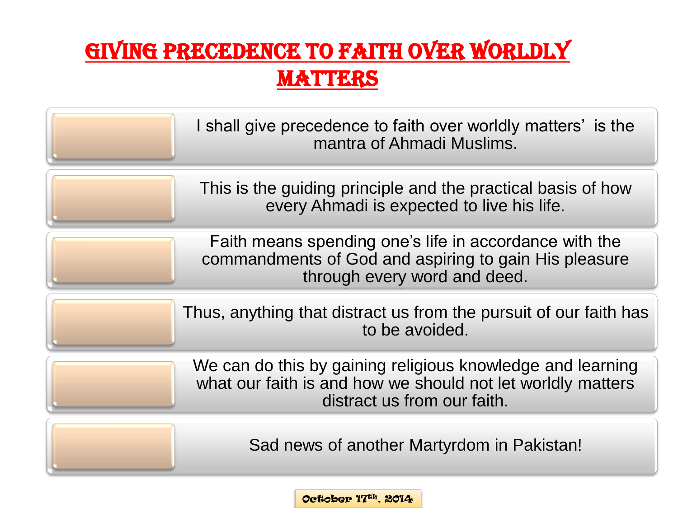#### Giving precedence to faith over worldly **MATTERS**



October 17th, 2014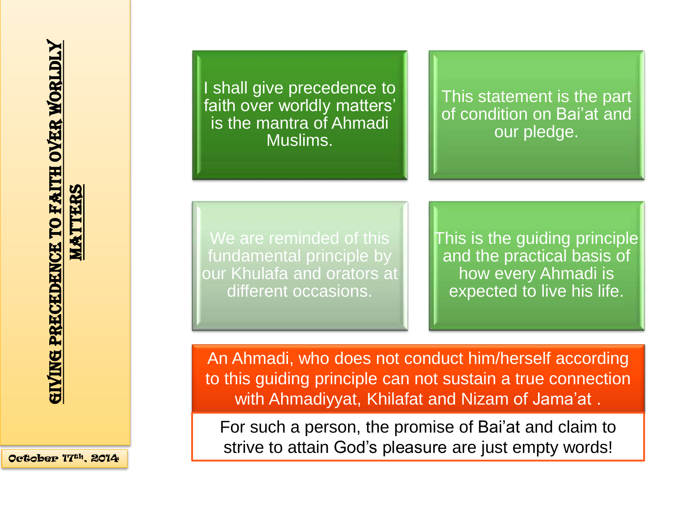October 17th, 2014

I shall give precedence to faith over worldly matters' is the mantra of Ahmadi Muslims.

This statement is the part of condition on Bai'at and our pledge.

We are reminded of this fundamental principle by our Khulafa and orators at different occasions.

This is the guiding principle and the practical basis of how every Ahmadi is expected to live his life.

An Ahmadi, who does not conduct him/herself according to this guiding principle can not sustain a true connection with Ahmadiyyat, Khilafat and Nizam of Jama'at .

For such a person, the promise of Bai'at and claim to strive to attain God's pleasure are just empty words!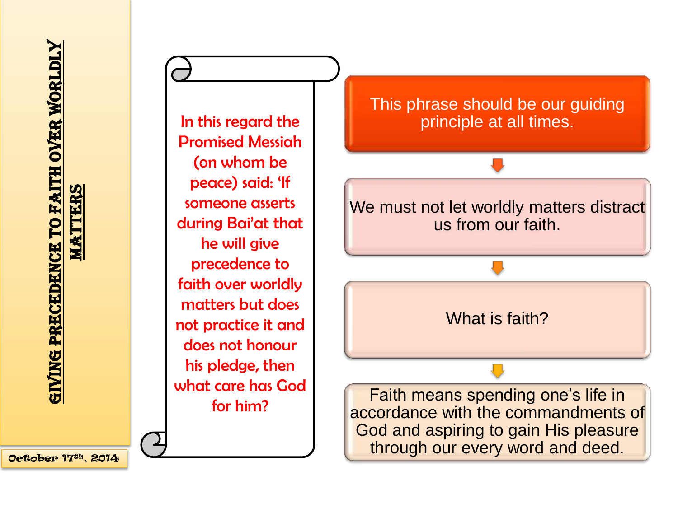In this regard the Promised Messiah (on whom be peace) said: 'If someone asserts during Bai'at that he will give precedence to faith over worldly matters but does not practice it and does not honour his pledge, then what care has God for him?

#### This phrase should be our guiding principle at all times.



What is faith?

Faith means spending one's life in accordance with the commandments of God and aspiring to gain His pleasure through our every word and deed.

October 17th, 2014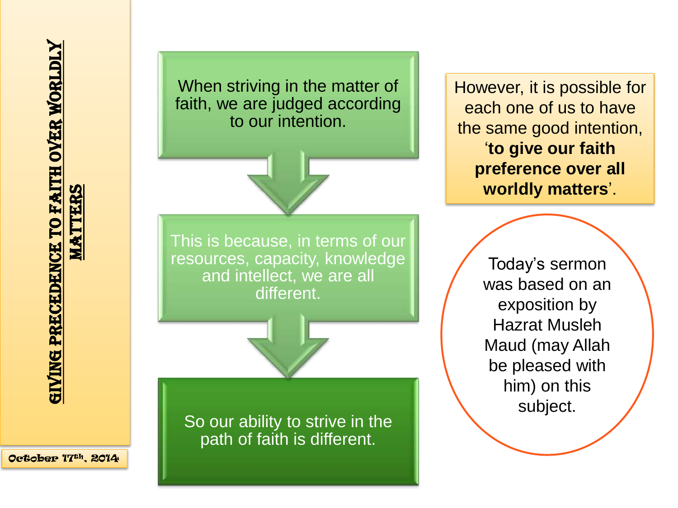So our ability to strive in the path of faith is different. This is because, in terms of our resources, capacity, knowledge and intellect, we are all different. When striving in the matter of faith, we are judged according to our intention.

However, it is possible for each one of us to have the same good intention, '**to give our faith preference over all worldly matters**'.

> Today's sermon was based on an exposition by Hazrat Musleh Maud (may Allah be pleased with him) on this subject.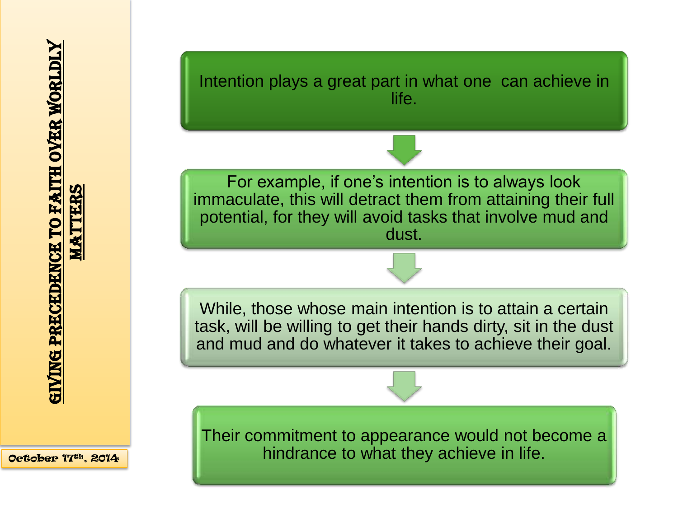

Intention plays a great part in what one can achieve in life.

For example, if one's intention is to always look immaculate, this will detract them from attaining their full potential, for they will avoid tasks that involve mud and dust.

While, those whose main intention is to attain a certain task, will be willing to get their hands dirty, sit in the dust and mud and do whatever it takes to achieve their goal.

Their commitment to appearance would not become a hindrance to what they achieve in life.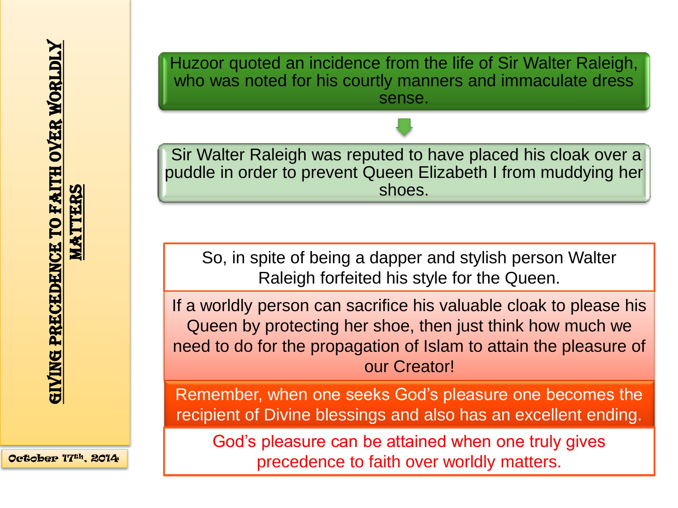**MATTERS MATTERS** 

Huzoor quoted an incidence from the life of Sir Walter Raleigh, who was noted for his courtly manners and immaculate dress sense.



Sir Walter Raleigh was reputed to have placed his cloak over a puddle in order to prevent Queen Elizabeth I from muddying her shoes.

So, in spite of being a dapper and stylish person Walter Raleigh forfeited his style for the Queen.

If a worldly person can sacrifice his valuable cloak to please his Queen by protecting her shoe, then just think how much we need to do for the propagation of Islam to attain the pleasure of our Creator!

Remember, when one seeks God's pleasure one becomes the recipient of Divine blessings and also has an excellent ending.

God's pleasure can be attained when one truly gives precedence to faith over worldly matters.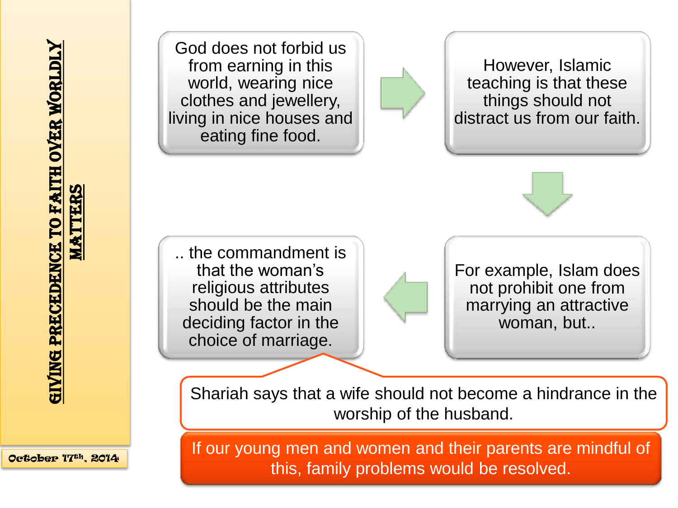October 17th, 2014

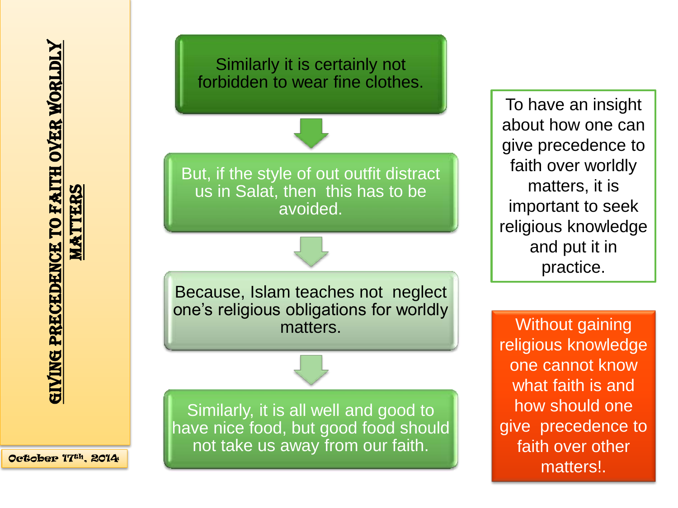



Similarly it is certainly not forbidden to wear fine clothes.

> To have an insight about how one can give precedence to faith over worldly matters, it is important to seek religious knowledge and put it in practice.

> Without gaining religious knowledge one cannot know what faith is and how should one give precedence to faith over other matters!.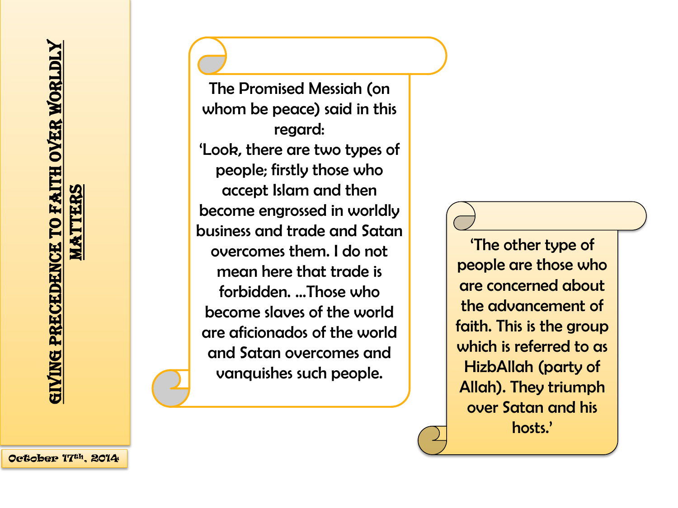The Promised Messiah (on whom be peace) said in this regard: 'Look, there are two types of people; firstly those who accept Islam and then become engrossed in worldly business and trade and Satan overcomes them. I do not mean here that trade is forbidden. …Those who become slaves of the world are aficionados of the world and Satan overcomes and vanquishes such people.

'The other type of people are those who are concerned about the advancement of faith. This is the group which is referred to as HizbAllah (party of Allah). They triumph over Satan and his hosts.'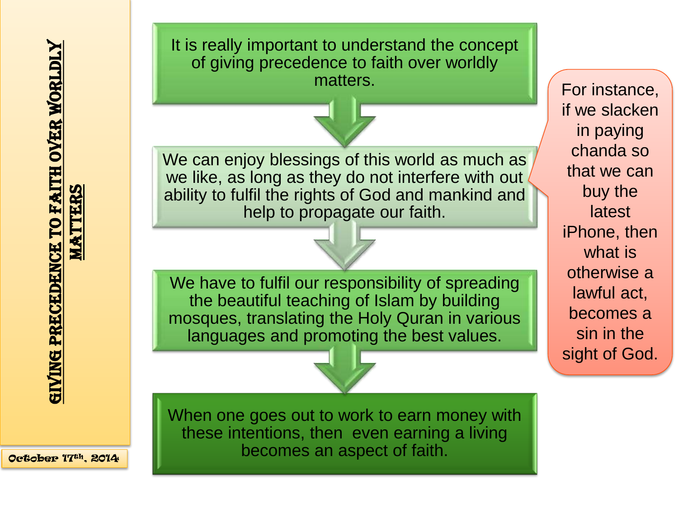We have to fulfil our responsibility of spreading the beautiful teaching of Islam by building mosques, translating the Holy Quran in various languages and promoting the best values. We can enjoy blessings of this world as much as we like, as long as they do not interfere with out ability to fulfil the rights of God and mankind and help to propagate our faith. It is really important to understand the concept of giving precedence to faith over worldly matters. The set of the set of the set of the set of the set of the set of the set of the set of the set of the set of the set of the set of the set of the set of the set of the set of the set of the set of the set of the

if we slacken in paying chanda so that we can buy the latest iPhone, then what is otherwise a lawful act, becomes a sin in the sight of God.

When one goes out to work to earn money with these intentions, then even earning a living becomes an aspect of faith.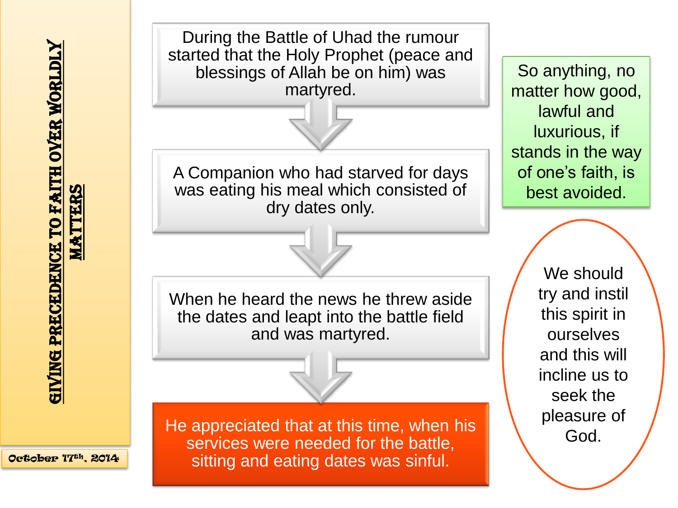October 17th, 2014



So anything, no matter how good, lawful and luxurious, if stands in the way of one's faith, is best avoided.

> We should try and instil this spirit in ourselves and this will incline us to seek the pleasure of God.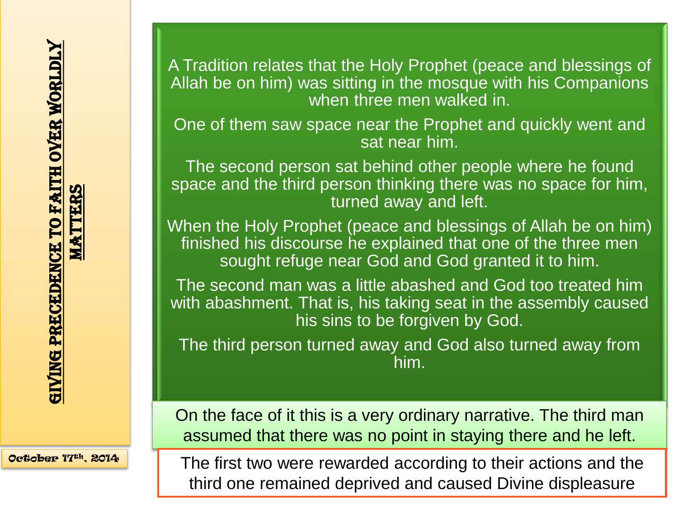A Tradition relates that the Holy Prophet (peace and blessings of Allah be on him) was sitting in the mosque with his Companions when three men walked in.

One of them saw space near the Prophet and quickly went and sat near him.

The second person sat behind other people where he found space and the third person thinking there was no space for him, turned away and left.

When the Holy Prophet (peace and blessings of Allah be on him) finished his discourse he explained that one of the three men sought refuge near God and God granted it to him.

The second man was a little abashed and God too treated him with abashment. That is, his taking seat in the assembly caused his sins to be forgiven by God.

The third person turned away and God also turned away from him.

On the face of it this is a very ordinary narrative. The third man assumed that there was no point in staying there and he left.

The first two were rewarded according to their actions and the third one remained deprived and caused Divine displeasure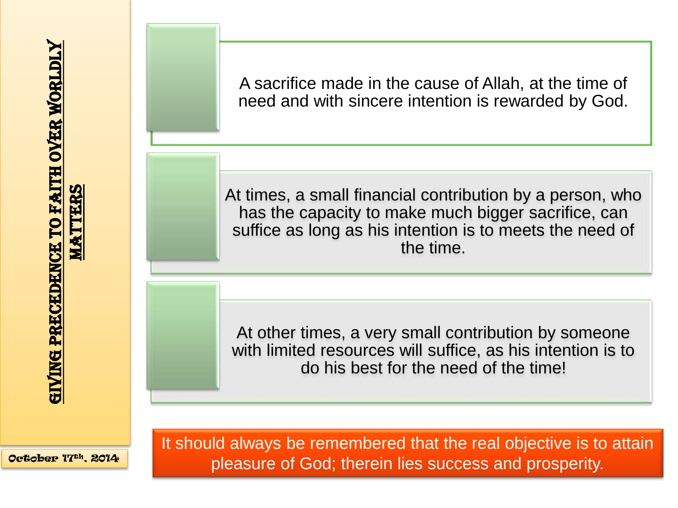A sacrifice made in the cause of Allah, at the time of need and with sincere intention is rewarded by God.

At times, a small financial contribution by a person, who has the capacity to make much bigger sacrifice, can suffice as long as his intention is to meets the need of the time.

At other times, a very small contribution by someone with limited resources will suffice, as his intention is to do his best for the need of the time!

October 17th, 2014

It should always be remembered that the real objective is to attain pleasure of God; therein lies success and prosperity.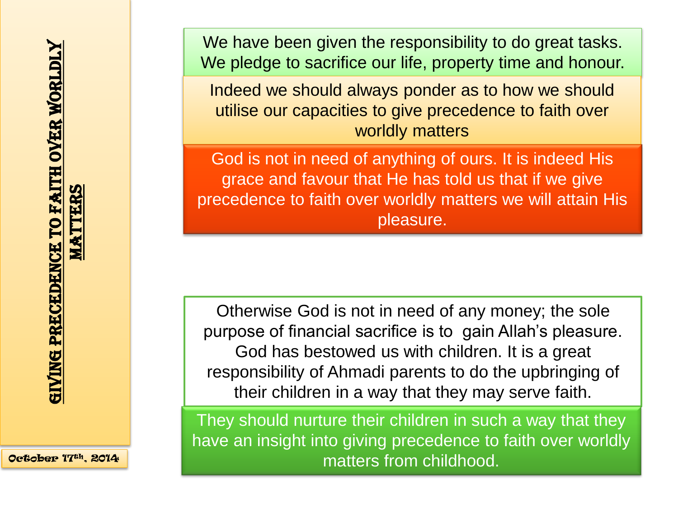October 17th, 2014

We have been given the responsibility to do great tasks. We pledge to sacrifice our life, property time and honour.

Indeed we should always ponder as to how we should utilise our capacities to give precedence to faith over worldly matters

God is not in need of anything of ours. It is indeed His grace and favour that He has told us that if we give precedence to faith over worldly matters we will attain His pleasure.

Otherwise God is not in need of any money; the sole purpose of financial sacrifice is to gain Allah's pleasure. God has bestowed us with children. It is a great responsibility of Ahmadi parents to do the upbringing of their children in a way that they may serve faith.

They should nurture their children in such a way that they have an insight into giving precedence to faith over worldly matters from childhood.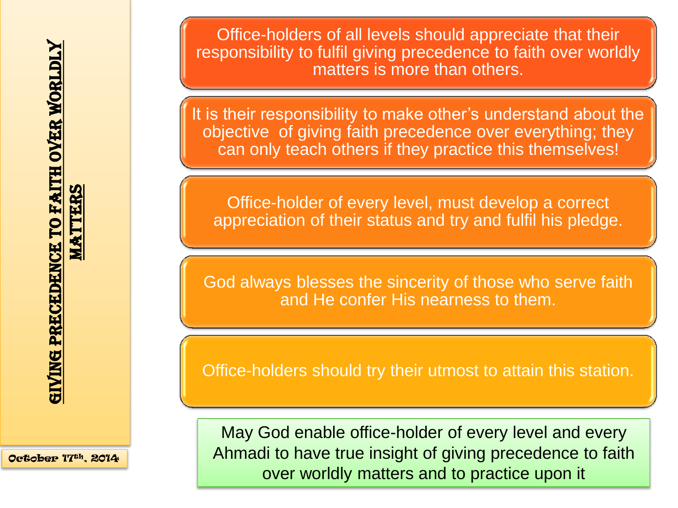Office-holders of all levels should appreciate that their responsibility to fulfil giving precedence to faith over worldly matters is more than others.

It is their responsibility to make other's understand about the objective of giving faith precedence over everything; they can only teach others if they practice this themselves!

Office-holder of every level, must develop a correct appreciation of their status and try and fulfil his pledge.

God always blesses the sincerity of those who serve faith and He confer His nearness to them.

Office-holders should try their utmost to attain this station.

May God enable office-holder of every level and every Ahmadi to have true insight of giving precedence to faith over worldly matters and to practice upon it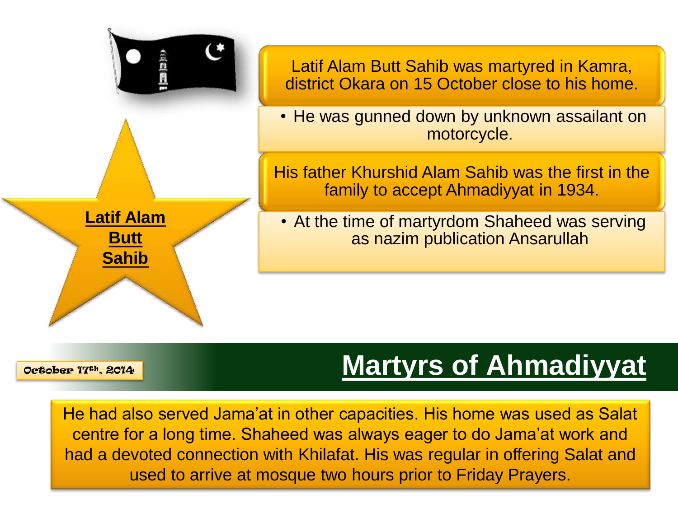

## **Martyrs of Ahmadiyyat**

He had also served Jama'at in other capacities. His home was used as Salat centre for a long time. Shaheed was always eager to do Jama'at work and had a devoted connection with Khilafat. His was regular in offering Salat and used to arrive at mosque two hours prior to Friday Prayers.